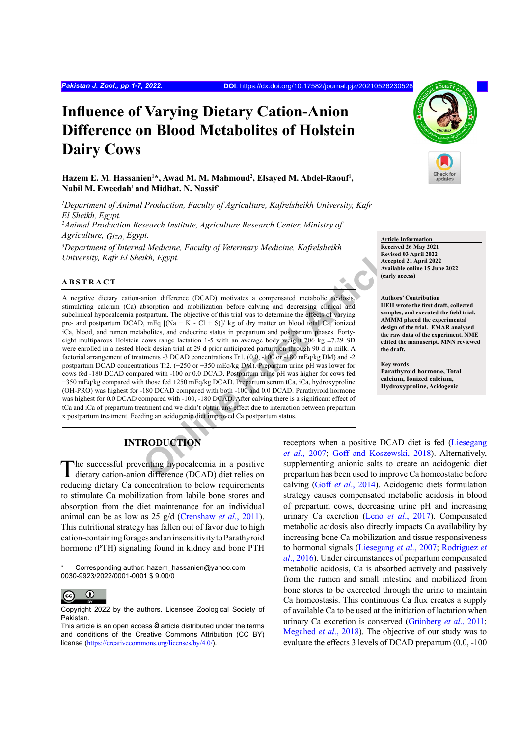# **Influence of Varying Dietary Cation-Anion Difference on Blood Metabolites of Holstein Dairy Cows**

# **Hazem E. M. Hassanien<sup>1</sup> \*, Awad M. M. Mahmoud<sup>2</sup> , Elsayed M. Abdel-Raouf<sup>1</sup> ,**  Nabil M. Eweedah<sup>1</sup> and Midhat. N. Nassif<sup>3</sup>

*1 Department of Animal Production, Faculty of Agriculture, Kafrelsheikh University, Kafr El Sheikh, Egypt. 2 Animal Production Research Institute, Agriculture Research Center, Ministry of Agriculture, Giza, Egypt.*

*3 Department of Internal Medicine, Faculty of Veterinary Medicine, Kafrelsheikh University, Kafr El Sheikh, Egypt.*

### **ABSTRACT**

**Online First Article** A negative dietary cation-anion difference (DCAD) motivates a compensated metabolic acidosis, stimulating calcium (Ca) absorption and mobilization before calving and decreasing clinical and subclinical hypocalcemia postpartum. The objective of this trial was to determine the effects of varying pre- and postpartum DCAD, mEq  $[(Na + K - Cl + S)]/kg$  of dry matter on blood total Ca, ionized iCa, blood, and rumen metabolites, and endocrine status in prepartum and postpartum phases. Fortyeight multiparous Holstein cows range lactation 1-5 with an average body weight 706 kg  $\pm$ 7.29 SD were enrolled in a nested block design trial at 29 d prior anticipated parturition through 90 d in milk. A factorial arrangement of treatments -3 DCAD concentrations Tr1. (0.0, -100 or -180 mEq/kg DM) and -2 postpartum DCAD concentrations Tr2. (+250 or +350 mEq/kg DM). Prepartum urine pH was lower for cows fed -180 DCAD compared with -100 or 0.0 DCAD. Postpartum urine pH was higher for cows fed +350 mEq/kg compared with those fed +250 mEq/kg DCAD. Prepartum serum tCa, iCa, hydroxyproline (OH-PRO) was highest for -180 DCAD compared with both -100 and 0.0 DCAD. Parathyroid hormone was highest for 0.0 DCAD compared with -100, -180 DCAD. After calving there is a significant effect of tCa and iCa of prepartum treatment and we didn't obtain any effect due to interaction between prepartum x postpartum treatment. Feeding an acidogenic diet improved Ca postpartum status.

**Article Information Received 26 May 2021** 

**Revised 03 April 2022 Accepted 21 April 2022 Available online 15 June 2022 (early access)**

#### **Authors' Contribution**

**HEH wrote the first draft, collected samples, and executed the field trial. AMMM placed the experimental design of the trial. EMAR analysed the raw data of the experiment. NME edited the manuscript. MNN reviewed the draft.**

**Key words**

**Parathyroid hormone, Total calcium, Ionized calcium, Hydroxyproline, Acidogenic**

# **INTRODUCTION**

The successful preventing hypocalcemia in a positive dietary cation-anion difference (DCAD) diet relies on reducing dietary Ca concentration to below requirements to stimulate Ca mobilization from labile bone stores and absorption from the diet maintenance for an individual animal can be as low as 25 g/d [\(Crenshaw](#page-5-0) *et al*., 2011). This nutritional strategy has fallen out of favor due to high cation-containing forages and an insensitivity to Parathyroid hormone (PTH) signaling found in kidney and bone PTH

Corresponding author: hazem\_hassanien@yahoo.com 0030-9923/2022/0001-0001 \$ 9.00/0



Copyright 2022 by the authors. Licensee Zoological Society of Pakistan.

receptors when a positive DCAD diet is fed ([Liesegang](#page-6-0) *et al*., 2007; [Goff and Koszewski, 2018\)](#page-5-1). Alternatively, supplementing anionic salts to create an acidogenic diet prepartum has been used to improve Ca homeostatic before calving (Goff *et al*[., 2014](#page-5-2)). Acidogenic diets formulation strategy causes compensated metabolic acidosis in blood of prepartum cows, decreasing urine pH and increasing urinary Ca excretion (Leno *et al*[., 2017](#page-5-3)). Compensated metabolic acidosis also directly impacts Ca availability by increasing bone Ca mobilization and tissue responsiveness to hormonal signals ([Liesegang](#page-6-0) *et al*., 2007; [Rodriguez](#page-6-1) *et al*[., 2016\)](#page-6-1). Under circumstances of prepartum compensated metabolic acidosis, Ca is absorbed actively and passively from the rumen and small intestine and mobilized from bone stores to be excrected through the urine to maintain Ca homeostasis. This continuous Ca flux creates a supply of available Ca to be used at the initiation of lactation when urinary Ca excretion is conserved (Grünberg *et al*., 2011; [Megahed](#page-6-2) *et al*., 2018). The objective of our study was to evaluate the effects 3 levels of DCAD prepartum (0.0, -100

This article is an open access  $\Theta$  article distributed under the terms and conditions of the Creative Commons Attribution (CC BY) license (<https://creativecommons.org/licenses/by/4.0/>).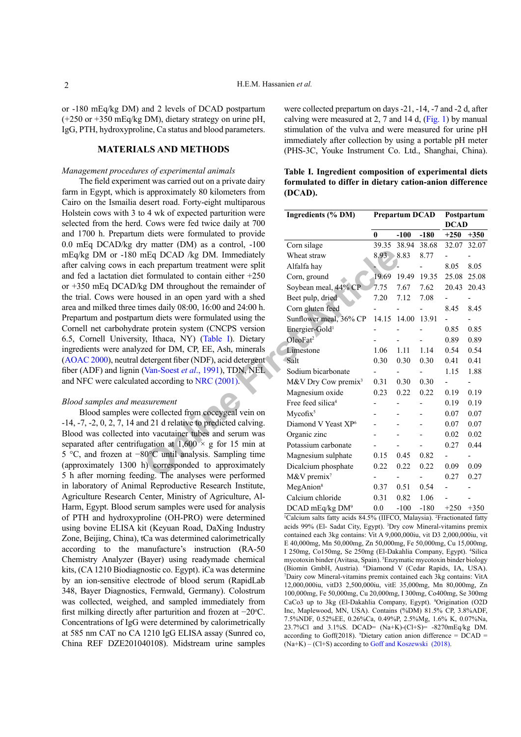or -180 mEq/kg DM) and 2 levels of DCAD postpartum (+250 or +350 mEq/kg DM), dietary strategy on urine pH, IgG, PTH, hydroxyproline, Ca status and blood parameters.

## **MATERIALS AND METHODS**

#### *Management procedures of experimental animals*

The field experiment was carried out on a private dairy farm in Egypt, which is approximately 80 kilometers from Cairo on the Ismailia desert road. Forty-eight multiparous Holstein cows with 3 to 4 wk of expected parturition were selected from the herd. Cows were fed twice daily at 700 and 1700 h. Prepartum diets were formulated to provide 0.0 mEq DCAD/kg dry matter (DM) as a control, -100 mEq/kg DM or -180 mEq DCAD /kg DM. Immediately after calving cows in each prepartum treatment were split and fed a lactation diet formulated to contain either +250 or +350 mEq DCAD/kg DM throughout the remainder of the trial. Cows were housed in an open yard with a shed area and milked three times daily 08:00, 16:00 and 24:00 h. Prepartum and postpartum diets were formulated using the Cornell net carbohydrate protein system (CNCPS version 6.5, Cornell University, Ithaca, NY) (Table I). Dietary ingredients were analyzed for DM, CP, EE, Ash, minerals [\(AOAC 2000](#page-5-4)), neutral detergent fiber (NDF), acid detergent fiber (ADF) and lignin (Van-Soest *et al*., 1991), TDN, NEL and NFC were calculated according to NRC (2001).

#### *Blood samples and measurement*

Blood samples were collected from coccygeal vein on -14, -7, -2, 0, 2, 7, 14 and 21 d relative to predicted calving. Blood was collected into vacutainer tubes and serum was separated after centrifugation at  $1,600 \times g$  for 15 min at 5 °C, and frozen at −80°C until analysis. Sampling time (approximately 1300 h) corresponded to approximately 5 h after morning feeding. The analyses were performed in laboratory of Animal Reproductive Research Institute, Agriculture Research Center, Ministry of Agriculture, Al-Harm, Egypt. Blood serum samples were used for analysis of PTH and hydroxyproline (OH-PRO) were determined using bovine ELISA kit (Keyuan Road, DaXing Industry Zone, Beijing, China), tCa was determined calorimetrically according to the manufacture's instruction (RA-50 Chemistry Analyzer (Bayer) using readymade chemical kits, (CA 1210 Biodiagnostic co. Egypt). iCa was determine by an ion-sensitive electrode of blood serum (RapidLab 348, Bayer Diagnostics, Fernwald, Germany). Colostrum was collected, weighed, and sampled immediately from first milking directly after parturition and frozen at -20 °C. Concentrations of IgG were determined by calorimetrically at 585 nm CAT no CA 1210 IgG ELISA assay (Sunred co, China REF DZE201040108). Midstream urine samples

were collected prepartum on days -21, -14, -7 and -2 d, after calving were measured at 2, 7 and 14 d, [\(Fig. 1](#page-2-0)) by manual stimulation of the vulva and were measured for urine pH immediately after collection by using a portable pH meter (PHS-3C, Youke Instrument Co. Ltd., Shanghai, China).

| lesert road. Forty-eight multiparous                                    |                                 |                |                       |                           |             |        |
|-------------------------------------------------------------------------|---------------------------------|----------------|-----------------------|---------------------------|-------------|--------|
| 1 4 wk of expected parturition were<br>Cows were fed twice daily at 700 | Ingredients (% DM)              |                | <b>Prepartum DCAD</b> | Postpartum<br><b>DCAD</b> |             |        |
| i diets were formulated to provide                                      |                                 | $\mathbf{0}$   | $-100$                | $-180$                    | $+250$      | $+350$ |
| y matter (DM) as a control, -100                                        | Corn silage                     |                | 39.35 38.94 38.68     |                           | 32.07 32.07 |        |
| nEq DCAD /kg DM. Immediately                                            | Wheat straw                     | $8.93 \t 8.83$ |                       | 8.77                      |             |        |
| ach prepartum treatment were split                                      | Alfalfa hay                     |                |                       |                           | 8.05        | 8.05   |
| formulated to contain either $+250$                                     | Corn, ground                    | 19.69          | 19.49                 | 19.35                     | 25.08       | 25.08  |
| g DM throughout the remainder of                                        | Soybean meal, 44% CP            | 7.75           | 7.67                  | 7.62                      | 20.43       | 20.43  |
| oused in an open yard with a shed                                       | Beet pulp, dried                | 7.20           | 7.12                  | 7.08                      |             |        |
| mes daily 08:00, 16:00 and 24:00 h.                                     | Corn gluten feed                |                |                       |                           | 8.45        | 8.45   |
| um diets were formulated using the                                      | Sunflower meal, 36% CP          |                | 14.15 14.00 13.91     |                           |             |        |
| te protein system (CNCPS version                                        | Energier-Gold <sup>1</sup>      |                |                       |                           | 0.85        | 0.85   |
| y, Ithaca, NY) (Table I). Dietary                                       | OleoFat <sup>2</sup>            |                |                       |                           | 0.89        | 0.89   |
| zed for DM, CP, EE, Ash, minerals                                       | Limestone                       | 1.06           | 1.11                  | 1.14                      | 0.54        | 0.54   |
| letergent fiber (NDF), acid detergent                                   | Salt                            | 0.30           | 0.30                  | 0.30                      | 0.41        | 0.41   |
| (Van-Soest <i>et al.</i> , 1991), TDN, NEL                              | Sodium bicarbonate              |                |                       |                           | 1.15        | 1.88   |
| ed according to NRC (2001).                                             | M&V Dry Cow premix <sup>3</sup> | 0.31           | 0.30                  | 0.30                      | ÷,          | -      |
|                                                                         | Magnesium oxide                 | 0.23           | 0.22                  | 0.22                      | 0.19        | 0.19   |
| ısurement                                                               | Free feed silica <sup>4</sup>   |                |                       |                           | 0.19        | 0.19   |
| re collected from coccygeal vein on                                     | $Mycofix^5$                     |                |                       |                           | 0.07        | 0.07   |
| d 21 d relative to predicted calving.                                   | Diamond V Yeast XP <sup>6</sup> |                |                       | $\overline{a}$            | 0.07        | 0.07   |
| to vacutainer tubes and serum was                                       | Organic zinc                    |                |                       |                           | 0.02        | 0.02   |
| igation at $1,600 \times g$ for 15 min at                               | Potassium carbonate             |                |                       |                           | 0.27        | 0.44   |
| 80°C until analysis. Sampling time                                      | Magnesium sulphate              | 0.15           | 0.45                  | 0.82                      | -           |        |
| h) corresponded to approximately                                        | Dicalcium phosphate             | 0.22           | 0.22                  | 0.22                      | 0.09        | 0.09   |
| ling. The analyses were performed                                       | M&V premix <sup>7</sup>         |                |                       |                           | 0.27        | 0.27   |
| al Reproductive Research Institute,                                     | MegAnion <sup>8</sup>           | 0.37           | 0.51                  | 0.54                      |             |        |
| Center, Ministry of Agriculture, Al-                                    | Calcium chloride                | 0.31           | 0.82                  | 1.06                      |             |        |
| rum samples were used for analysis                                      | $DCAD$ mEq/kg $DM^9$            | 0.0            | $-100$                | $-180$                    | $+250$      | $+350$ |

<span id="page-1-0"></span>**Table I. Ingredient composition of experimental diets formulated to differ in dietary cation-anion difference (DCAD).**

<sup>1</sup>Calcium salts fatty acids 84.5% (IIFCO, Malaysia). <sup>2</sup>Fractionated fatty acids 99% (El- Sadat City, Egypt). 3 Dry cow Mineral-vitamins premix contained each 3kg contains: Vit A 9,000,000iu, vit D3 2,000,000iu, vit E 40,000mg, Mn 50,000mg, Zn 50,000mg, Fe 50,000mg, Cu 15,000mg, I 250mg, Co150mg, Se 250mg (El-Dakahlia Company, Egypt). 4 Silica mycotoxin binder (Avitasa, Spain). 5 Enzymatic mycotoxin binder biology (Biomin GmbH, Austria). <sup>6</sup> Diamond V (Cedar Rapids, IA, USA). 7 Dairy cow Mineral-vitamins premix contained each 3kg contains: VitA 12,000,000iu, vitD3 2,500,000iu, vitE 35,000mg, Mn 80,000mg, Zn 100,000mg, Fe 50,000mg, Cu 20,000mg, I 300mg, Co400mg, Se 300mg CaCo3 up to 3kg (El-Dakahlia Company, Egypt). <sup>8</sup>Origination (O2D Inc, Maplewood, MN, USA). Contains (%DM) 81.5% CP, 3.8%ADF, 7.5%NDF, 0.52%EE, 0.26%Ca, 0.49%P, 2.5%Mg, 1.6% K, 0.07%Na, 23.7%Cl and 3.1%S. DCAD= (Na+K)-(Cl+S)= -8270mEq/kg DM. according to Goff(2018). <sup>9</sup>Dietary cation anion difference =  $DCAD =$  $(Na+K) - (Cl+S)$  according to [Goff and Koszewski \(2018\)](#page-5-5).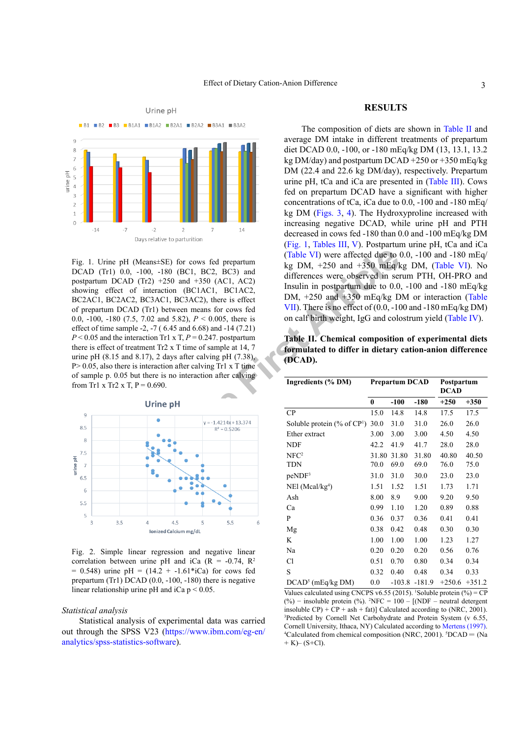

<span id="page-2-0"></span>**EXECUTE:** Considered to the pH<br>
Cannot Calculate Concern Capture affected due to 00, -180 (BC1, BC2, BC3) and<br>
IF2) +250 and +350 (AC1, AC2)<br>
interaction (BC1AC1, BC1AC2,<br>
Installation (BC1AC1, BC1AC2,<br>
IDM, +250 and +35 Fig. 1. Urine pH (Means±SE) for cows fed prepartum DCAD (Tr1) 0.0, -100, -180 (BC1, BC2, BC3) and postpartum DCAD (Tr2) +250 and +350 (AC1, AC2) showing effect of interaction (BC1AC1, BC1AC2, BC2AC1, BC2AC2, BC3AC1, BC3AC2), there is effect of prepartum DCAD (Tr1) between means for cows fed 0.0, -100, -180 (7.5, 7.02 and 5.82), *P* < 0.005, there is effect of time sample -2, -7 ( 6.45 and 6.68) and -14 (7.21)  $P < 0.05$  and the interaction Tr1 x T,  $P = 0.247$ . postpartum there is effect of treatment Tr2 x T time of sample at 14, 7 urine pH  $(8.15 \text{ and } 8.17)$ , 2 days after calving pH  $(7.38)$ ,  $P > 0.05$ , also there is interaction after calving Tr1 x T time of sample p. 0.05 but there is no interaction after calving from Tr1 x Tr2 x T,  $P = 0.690$ .



<span id="page-2-2"></span>Fig. 2. Simple linear regression and negative linear correlation between urine pH and iCa ( $R = -0.74$ ,  $R^2$ )  $= 0.548$ ) urine pH = (14.2 + -1.61\*iCa) for cows fed prepartum (Tr1) DCAD  $(0.0, -100, -180)$  there is negative linear relationship urine pH and iCa  $p < 0.05$ .

#### *Statistical analysis*

Statistical analysis of experimental data was carried out through the SPSS V23 ([https://www.ibm.com/eg-en/](https://www.ibm.com/eg-en/analytics/spss-statistics-software) [analytics/spss-statistics-software](https://www.ibm.com/eg-en/analytics/spss-statistics-software)).

### **RESULTS**

The composition of diets are shown in [Table II](#page-2-1) and average DM intake in different treatments of prepartum diet DCAD 0.0, -100, or -180 mEq/kg DM (13, 13.1, 13.2 kg DM/day) and postpartum DCAD +250 or +350 mEq/kg DM (22.4 and 22.6 kg DM/day), respectively. Prepartum urine pH, tCa and iCa are presented in ([Table III](#page-3-0)). Cows fed on prepartum DCAD have a significant with higher concentrations of tCa, iCa due to 0.0, -100 and -180 mEq/ kg DM ([Figs. 3](#page-3-1), [4\)](#page-3-2). The Hydroxyproline increased with increasing negative DCAD, while urine pH and PTH decreased in cows fed -180 than 0.0 and -100 mEq/kg DM [\(Fig. 1](#page-2-0), [Tables III,](#page-3-0) [V](#page-3-3)). Postpartum urine pH, tCa and iCa (Table VI) were affected due to 0.0, -100 and -180 mEq/ kg DM,  $+250$  and  $+350$  mEq/kg DM, ([Table VI](#page-4-0)). No differences were observed in serum PTH, OH-PRO and Insulin in postpartum due to 0.0, -100 and -180 mEq/kg DM, +250 and +350 mEq/kg DM or interaction [\(Table](#page-4-1) VII). There is no effect of (0.0, -100 and -180 mEq/kg DM) on calf birth weight, IgG and colostrum yield ([Table IV\)](#page-3-4).

<span id="page-2-1"></span>**Table II. Chemical composition of experimental diets formulated to differ in dietary cation-anion difference (DCAD).**

| Ingredients (% DM)                         |          | <b>Prepartum DCAD</b> |          | Postpartum<br><b>DCAD</b> |          |  |
|--------------------------------------------|----------|-----------------------|----------|---------------------------|----------|--|
|                                            | $\bf{0}$ | $-100$                | $-180$   | $+250$                    | $+350$   |  |
| CP                                         | 15.0     | 14.8                  | 14.8     | 17.5                      | 17.5     |  |
| Soluble protein $(\%$ of CP <sup>1</sup> ) | 30.0     | 31.0                  | 31.0     | 26.0                      | 26.0     |  |
| Ether extract                              | 3.00     | 3.00                  | 3.00     | 4.50                      | 4.50     |  |
| <b>NDF</b>                                 | 42.2     | 41.9                  | 41.7     | 28.0                      | 28.0     |  |
| NFC <sup>2</sup>                           | 31.80    | 31.80                 | 31.80    | 40.80                     | 40.50    |  |
| <b>TDN</b>                                 | 70.0     | 69.0                  | 69.0     | 76.0                      | 75.0     |  |
| peNDF <sup>3</sup>                         | 31.0     | 31.0                  | 30.0     | 23.0                      | 23.0     |  |
| $NE1$ (Mcal/kg <sup>4</sup> )              | 1.51     | 1.52                  | 1.51     | 1.73                      | 1.71     |  |
| Ash                                        | 8.00     | 8.9                   | 9.00     | 9.20                      | 9.50     |  |
| Ca                                         | 0.99     | 1.10                  | 1.20     | 0.89                      | 0.88     |  |
| P                                          | 0.36     | 0.37                  | 0.36     | 0.41                      | 0.41     |  |
| Mg                                         | 0.38     | 0.42                  | 0.48     | 0.30                      | 0.30     |  |
| K                                          | 1.00     | 1.00                  | 1.00     | 1.23                      | 1.27     |  |
| Na                                         | 0.20     | 0.20                  | 0.20     | 0.56                      | 0.76     |  |
| C1                                         | 0.51     | 0.70                  | 0.80     | 0.34                      | 0.34     |  |
| S                                          | 0.32     | 0.40                  | 0.48     | 0.34                      | 0.33     |  |
| $DCAD5$ (mEq/kg DM)                        | 0.0      | $-103.8$              | $-181.9$ | $+250.6$                  | $+351.2$ |  |

Values calculated using CNCPS v6.55 (2015). 'Soluble protein  $(\%)=$  CP (%) − insoluble protein (%). <sup>2</sup> NFC = 100 – [(NDF – neutral detergent insoluble  $CP$ ) +  $CP$  + ash + fat)] Calculated according to (NRC, 2001). 3 Predicted by Cornell Net Carbohydrate and Protein System (v 6.55, Cornell University, Ithaca, NY) Calculated according to [Mertens \(1997\)](#page-6-5). Calculated from chemical composition (NRC, 2001).  ${}^5DCAD = (Na)$  $+ K$ – (S+Cl).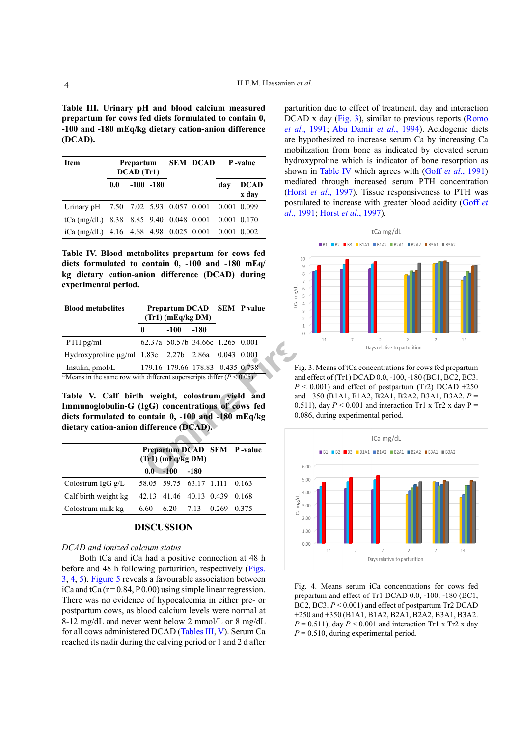<span id="page-3-0"></span>**Table III. Urinary pH and blood calcium measured prepartum for cows fed diets formulated to contain 0, -100 and -180 mEq/kg dietary cation-anion difference (DCAD).**

| <b>Item</b>                                              | Prepartum<br>DCAD (Tr1) |              |  |  | <b>SEM DCAD</b> P-value |                      |  |  |
|----------------------------------------------------------|-------------------------|--------------|--|--|-------------------------|----------------------|--|--|
|                                                          | 0.0                     | $-100 - 180$ |  |  | dav                     | <b>DCAD</b><br>x day |  |  |
| Urinary pH 7.50 7.02 5.93 0.057 0.001 0.001 0.099        |                         |              |  |  |                         |                      |  |  |
| tCa (mg/dL) 8.38 8.85 9.40 0.048 0.001 0.001 0.170       |                         |              |  |  |                         |                      |  |  |
| iCa (mg/dL) $4.16$ $4.68$ $4.98$ 0.025 0.001 0.001 0.002 |                         |              |  |  |                         |                      |  |  |

<span id="page-3-4"></span>**Table IV. Blood metabolites prepartum for cows fed diets formulated to contain 0, -100 and -180 mEq/ kg dietary cation-anion difference (DCAD) during experimental period.**

| <b>Blood metabolites</b>                                                              |                                  | $(Tr1)$ (mEq/kg DM)              |        | Prepartum DCAD SEM P value |  |  |  |  |  |
|---------------------------------------------------------------------------------------|----------------------------------|----------------------------------|--------|----------------------------|--|--|--|--|--|
|                                                                                       | 0                                | $-100$                           | $-180$ |                            |  |  |  |  |  |
| $PTH$ pg/ml                                                                           |                                  | 62.37a 50.57b 34.66c 1.265 0.001 |        |                            |  |  |  |  |  |
| Hydroxyproline µg/ml 1.83c 2.27b 2.86a 0.043 0.001                                    |                                  |                                  |        |                            |  |  |  |  |  |
| Insulin, $pmol/L$                                                                     | 179.16 179.66 178.83 0.435 0.738 |                                  |        |                            |  |  |  |  |  |
| <sup>ab</sup> Means in the same row with different superscripts differ $(P < 0.05)$ . |                                  |                                  |        |                            |  |  |  |  |  |

<span id="page-3-3"></span>**Table V. Calf birth weight, colostrum yield and Immunoglobulin-G (IgG) concentrations of cows fed diets formulated to contain 0, -100 and -180 mEq/kg dietary cation-anion difference (DCAD).**

|                      |      | $(Tr1)$ (mEq/kg DM)           |        | Prepartum DCAD SEM P-value |  |  |  |  |
|----------------------|------|-------------------------------|--------|----------------------------|--|--|--|--|
|                      |      | $0.0 - 100$                   | $-180$ |                            |  |  |  |  |
| Colostrum IgG $g/L$  |      | 58.05 59.75 63.17 1.111 0.163 |        |                            |  |  |  |  |
| Calf birth weight kg |      | 42.13 41.46 40.13 0.439 0.168 |        |                            |  |  |  |  |
| Colostrum milk kg    | 6.60 |                               |        | 6.20 7.13 0.269 0.375      |  |  |  |  |
|                      |      |                               |        |                            |  |  |  |  |

# **DISCUSSION**

# *DCAD and ionized calcium status*

Both tCa and iCa had a positive connection at 48 h before and 48 h following parturition, respectively ([Figs.](#page-3-1) [3,](#page-3-1) [4,](#page-3-2) [5\)](#page-4-2). [Figure 5](#page-4-2) reveals a favourable association between iCa and tCa  $(r = 0.84, P 0.00)$  using simple linear regression. There was no evidence of hypocalcemia in either pre- or postpartum cows, as blood calcium levels were normal at 8-12 mg/dL and never went below 2 mmol/L or 8 mg/dL for all cows administered DCAD ([Tables III,](#page-3-0) [V](#page-3-3)). Serum Ca reached its nadir during the calving period or 1 and 2 d after

parturition due to effect of treatment, day and interaction DCAD x day [\(Fig. 3](#page-3-1)), similar to previous reports (Romo *et al*[., 1991](#page-6-6); [Abu Damir](#page-5-6) *et al*., 1994). Acidogenic diets are hypothesized to increase serum Ca by increasing Ca mobilization from bone as indicated by elevated serum hydroxyproline which is indicator of bone resorption as shown in [Table IV](#page-3-4) which agrees with (Goff *et al*[., 1991\)](#page-5-7) mediated through increased serum PTH concentration (Horst *et al*[., 1997](#page-5-8)). Tissue responsiveness to PTH was postulated to increase with greater blood acidity ([Goff](#page-5-7) *et al*[., 1991](#page-5-7); Horst *et al*[., 1997](#page-5-8)).



<span id="page-3-1"></span>Fig. 3. Means of tCa concentrations for cows fed prepartum and effect of (Tr1) DCAD 0.0, -100, -180 (BC1, BC2, BC3.  $P < 0.001$ ) and effect of postpartum (Tr2) DCAD +250 and +350 (B1A1, B1A2, B2A1, B2A2, B3A1, B3A2. *P* = 0.511), day  $P < 0.001$  and interaction Tr1 x Tr2 x day P = 0.086, during experimental period.



<span id="page-3-2"></span>Fig. 4. Means serum iCa concentrations for cows fed prepartum and effect of Tr1 DCAD 0.0, -100, -180 (BC1, BC2, BC3. *P* < 0.001) and effect of postpartum Tr2 DCAD +250 and +350 (B1A1, B1A2, B2A1, B2A2, B3A1, B3A2.  $P = 0.511$ , day  $P \le 0.001$  and interaction Tr1 x Tr2 x day  $P = 0.510$ , during experimental period.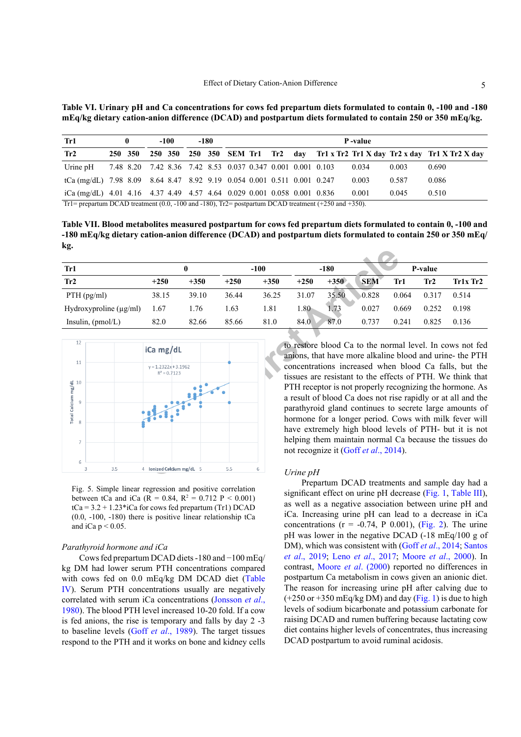<span id="page-4-0"></span>**Table VI. Urinary pH and Ca concentrations for cows fed prepartum diets formulated to contain 0, -100 and -180 mEq/kg dietary cation-anion difference (DCAD) and postpartum diets formulated to contain 250 or 350 mEq/kg.**

| Tr1                                                                                                                         |         | -100    | -180 | P-value                                                     |  |  |  |       |       |                                                                       |
|-----------------------------------------------------------------------------------------------------------------------------|---------|---------|------|-------------------------------------------------------------|--|--|--|-------|-------|-----------------------------------------------------------------------|
| Tr2                                                                                                                         | 250 350 | 250 350 |      |                                                             |  |  |  |       |       | 250 350 SEM Tr1 Tr2 day Tr1 x Tr2 Tr1 X day Tr2 x day Tr1 X Tr2 X day |
| Urine pH                                                                                                                    |         |         |      | 7.48 8.20 7.42 8.36 7.42 8.53 0.037 0.347 0.001 0.001 0.103 |  |  |  | 0.034 | 0.003 | 0.690                                                                 |
| tCa (mg/dL) 7.98 8.09 8.64 8.47 8.92 9.19 0.054 0.001 0.511 0.001 0.247                                                     |         |         |      |                                                             |  |  |  | 0.003 | 0.587 | 0.086                                                                 |
| iCa (mg/dL) $4.01$ $4.16$ $4.37$ $4.49$ $4.57$ $4.64$ 0.029 0.001 0.058 0.001 0.836                                         |         |         |      |                                                             |  |  |  | 0.001 | 0.045 | 0.510                                                                 |
| Tr1= prepartum DCAD treatment $(0.0, -100 \text{ and } -180)$ , Tr2= postpartum DCAD treatment $(+250 \text{ and } +350)$ . |         |         |      |                                                             |  |  |  |       |       |                                                                       |

<span id="page-4-1"></span>**Table VII. Blood metabolites measured postpartum for cows fed prepartum diets formulated to contain 0, -100 and -180 mEq/kg dietary cation-anion difference (DCAD) and postpartum diets formulated to contain 250 or 350 mEq/ kg.**

| Tr1                         |        | 0      |        | $-100$ |        | $-180$ |            |       | P-value |            |
|-----------------------------|--------|--------|--------|--------|--------|--------|------------|-------|---------|------------|
| Tr2                         | $+250$ | $+350$ | $+250$ | $+350$ | $+250$ | $+350$ | <b>SEM</b> | Tr1   | Tr2     | $Tr1x$ Tr2 |
| $PTH$ (pg/ml)               | 38.15  | 39.10  | 36.44  | 36.25  | 31.07  | 35.50  | 0.828      | 0.064 | 0.317   | 0.514      |
| Hydroxyproline $(\mu g/ml)$ | 1.67   | 1.76   | 1.63   | 1.81   | 1.80   | 1.73   | 0.027      | 0.669 | 0.252   | 0.198      |
| Insulin, $(pmol/L)$         | 82.0   | 82.66  | 85.66  | 81.0   | 84.0   | 87.0   | 0.737      | 0.241 | 0.825   | 0.136      |



<span id="page-4-2"></span>Fig. 5. Simple linear regression and positive correlation between tCa and iCa ( $R = 0.84$ ,  $R^2 = 0.712$   $P < 0.001$ )  $tCa = 3.2 + 1.23 * iCa$  for cows fed prepartum (Tr1) DCAD  $(0.0, -100, -180)$  there is positive linear relationship tCa and iCa  $p < 0.05$ .

#### *Parathyroid hormone and iCa*

Cows fed prepartum DCAD diets -180 and −100 mEq/ kg DM had lower serum PTH concentrations compared with cows fed on 0.0 mEq/kg DM DCAD diet [\(Table](#page-3-4) [IV](#page-3-4)). Serum PTH concentrations usually are negatively correlated with serum iCa concentrations ([Jonsson](#page-5-9) *et al*., [1980\)](#page-5-9). The blood PTH level increased 10-20 fold. If a cow is fed anions, the rise is temporary and falls by day 2 -3 to baseline levels (Goff *et al*[., 1989](#page-5-5)). The target tissues respond to the PTH and it works on bone and kidney cells

to restore blood Ca to the normal level. In cows not fed anions, that have more alkaline blood and urine- the PTH concentrations increased when blood Ca falls, but the tissues are resistant to the effects of PTH. We think that PTH receptor is not properly recognizing the hormone. As a result of blood Ca does not rise rapidly or at all and the parathyroid gland continues to secrete large amounts of hormone for a longer period. Cows with milk fever will have extremely high blood levels of PTH- but it is not helping them maintain normal Ca because the tissues do not recognize it (Goff *et al*., 2014).

#### *Urine pH*

Prepartum DCAD treatments and sample day had a significant effect on urine pH decrease ([Fig. 1](#page-2-0), [Table III](#page-3-0)), as well as a negative association between urine pH and iCa. Increasing urine pH can lead to a decrease in iCa concentrations  $(r = -0.74, P \ 0.001)$ ,  $(Fig. 2)$  $(Fig. 2)$ . The urine pH was lower in the negative DCAD (-18 mEq/100 g of DM), which was consistent with (Goff *et al*[., 2014](#page-5-2); [Santos](#page-6-7) *et al*[., 2019](#page-6-7); Leno *et al*[., 2017;](#page-5-3) Moore *et al*[., 2000\)](#page-6-8). In contrast, Moore *et al*[. \(2000](#page-6-8)) reported no differences in postpartum Ca metabolism in cows given an anionic diet. The reason for increasing urine pH after calving due to  $(+250 \text{ or } +350 \text{ mEq/kg} \text{ DM})$  and day ([Fig. 1\)](#page-2-0) is due to high levels of sodium bicarbonate and potassium carbonate for raising DCAD and rumen buffering because lactating cow diet contains higher levels of concentrates, thus increasing DCAD postpartum to avoid ruminal acidosis.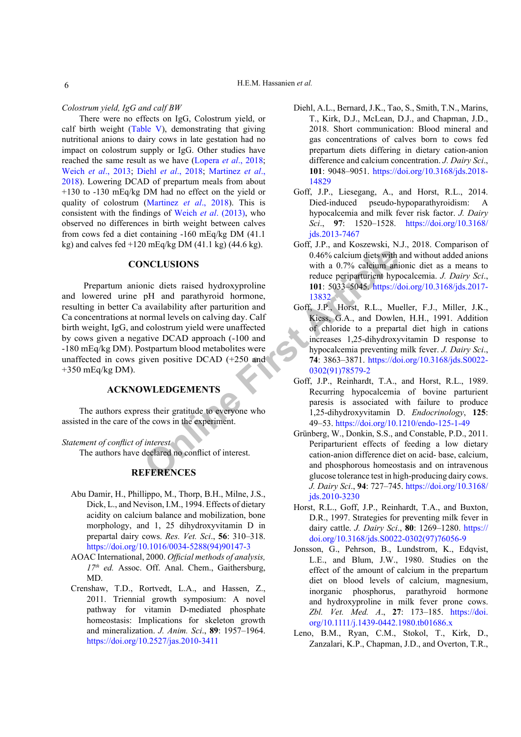*Colostrum yield, IgG and calf BW*

There were no effects on IgG, Colostrum yield, or calf birth weight [\(Table V\)](#page-3-3), demonstrating that giving nutritional anions to dairy cows in late gestation had no impact on colostrum supply or IgG. Other studies have reached the same result as we have [\(Lopera](#page-6-9) *et al*., 2018; Weich *et al*[., 2013;](#page-6-10) Diehl *et al*[., 2018;](#page-5-10) [Martinez](#page-6-5) *et al*., [2018\)](#page-6-5). Lowering DCAD of prepartum meals from about +130 to -130 mEq/kg DM had no effect on the yield or quality of colostrum ([Martinez](#page-6-5) *et al*., 2018). This is consistent with the findings of Weich *et al*[. \(2013\)](#page-6-10), who observed no differences in birth weight between calves from cows fed a diet containing -160 mEq/kg DM (41.1 kg) and calves fed  $+120$  mEq/kg DM (41.1 kg) (44.6 kg).

## **CONCLUSIONS**

**Online First Interest**<br> **CONS**<br> **ONLINESTANCE CONS**<br> **ONLINES**<br> **ONLINES**<br> **ONLINES**<br> **ONLINES**<br> **ONLINES**<br> **ONLINES**<br> **ONLINES**<br> **ONLINES**<br> **ONLINES**<br> **ONLINES**<br> **ONLINES**<br> **ONLINES**<br> **ONLINES**<br> **ONLINES**<br> **ONLINES**<br> **ON** Prepartum anionic diets raised hydroxyproline and lowered urine pH and parathyroid hormone, resulting in better Ca availability after parturition and Ca concentrations at normal levels on calving day. Calf birth weight, IgG, and colostrum yield were unaffected by cows given a negative DCAD approach (-100 and -180 mEq/kg DM). Postpartum blood metabolites were unaffected in cows given positive DCAD (+250 and  $+350$  mEq/kg DM).

# **ACKNOWLEDGEMENTS**

The authors express their gratitude to everyone who assisted in the care of the cows in the experiment.

#### *Statement of conflict of interest*

The authors have declared no conflict of interest.

# **REFERENCES**

- <span id="page-5-6"></span>Abu Damir, H., Phillippo, M., Thorp, B.H., Milne, J.S., Dick, L., and Nevison, I.M., 1994. Effects of dietary acidity on calcium balance and mobilization, bone morphology, and 1, 25 dihydroxyvitamin D in prepartal dairy cows. *Res. Vet. Sci*., **56**: 310–318. [https://doi.org/10.1016/0034-5288\(94\)90147-3](https://doi.org/10.1016/0034-5288(94)90147-3)
- <span id="page-5-4"></span>AOAC International, 2000. *Official methods of analysis, 17th ed.* Assoc. Off. Anal. Chem., Gaithersburg, MD.
- <span id="page-5-0"></span>Crenshaw, T.D., Rortvedt, L.A., and Hassen, Z., 2011. Triennial growth symposium: A novel pathway for vitamin D-mediated phosphate homeostasis: Implications for skeleton growth and mineralization. *J. Anim. Sci*., **89**: 1957–1964. <https://doi.org/10.2527/jas.2010-3411>
- <span id="page-5-10"></span>Diehl, A.L., Bernard, J.K., Tao, S., Smith, T.N., Marins, T., Kirk, D.J., McLean, D.J., and Chapman, J.D., 2018. Short communication: Blood mineral and gas concentrations of calves born to cows fed prepartum diets differing in dietary cation-anion difference and calcium concentration. *J. Dairy Sci*., **101**: 9048–9051. [https://doi.org/10.3168/jds.2018-](https://doi.org/10.3168/jds.2018-14829) [14829](https://doi.org/10.3168/jds.2018-14829)
- <span id="page-5-2"></span>Goff, J.P., Liesegang, A., and Horst, R.L., 2014. Died-induced pseudo-hypoparathyroidism: A hypocalcemia and milk fever risk factor. *J. Dairy Sci*., **97**: 1520–1528. [https://doi.org/10.3168/](https://doi.org/10.3168/jds.2013-7467) [jds.2013-7467](https://doi.org/10.3168/jds.2013-7467)
- <span id="page-5-1"></span>Goff, J.P., and Koszewski, N.J., 2018. Comparison of 0.46% calcium diets with and without added anions with a 0.7% calcium anionic diet as a means to reduce periparturient hypocalcemia. *J. Dairy Sci*., **101**: 5033–5045. [https://doi.org/10.3168/jds.2017-](https://doi.org/10.3168/jds.2017-13832) 13832
- <span id="page-5-7"></span>Goff, J.P., Horst, R.L., Mueller, F.J., Miller, J.K., Kiess, G.A., and Dowlen, H.H., 1991. Addition of chloride to a prepartal diet high in cations increases 1,25-dihydroxyvitamin D response to hypocalcemia preventing milk fever. *J. Dairy Sci*., **74**: 3863–3871. [https://doi.org/10.3168/jds.S0022-](https://doi.org/10.3168/jds.S0022-0302(91)78579-2) 0302(91)78579-2
- <span id="page-5-5"></span>Goff, J.P., Reinhardt, T.A., and Horst, R.L., 1989. Recurring hypocalcemia of bovine parturient paresis is associated with failure to produce 1,25-dihydroxyvitamin D. *Endocrinology*, **125**: 49–53.<https://doi.org/10.1210/endo-125-1-49>
- Grünberg, W., Donkin, S.S., and Constable, P.D., 2011. Periparturient effects of feeding a low dietary cation-anion difference diet on acid- base, calcium, and phosphorous homeostasis and on intravenous glucose tolerance test in high-producing dairy cows. *J. Dairy Sci*., **94**: 727–745. [https://doi.org/10.3168/](https://doi.org/10.3168/jds.2010-3230) [jds.2010-3230](https://doi.org/10.3168/jds.2010-3230)
- <span id="page-5-8"></span>Horst, R.L., Goff, J.P., Reinhardt, T.A., and Buxton, D.R., 1997. Strategies for preventing milk fever in dairy cattle. *J. Dairy Sci*., **80**: 1269–1280. [https://](https://doi.org/10.3168/jds.S0022-0302(97)76056-9) [doi.org/10.3168/jds.S0022-0302\(97\)76056-9](https://doi.org/10.3168/jds.S0022-0302(97)76056-9)
- <span id="page-5-9"></span>Jonsson, G., Pehrson, B., Lundstrom, K., Edqvist, L.E., and Blum, J.W., 1980. Studies on the effect of the amount of calcium in the prepartum diet on blood levels of calcium, magnesium, inorganic phosphorus, parathyroid hormone and hydroxyproline in milk fever prone cows. *Zbl. Vet. Med. A*., **27**: 173–185. [https://doi.](https://doi.org/10.1111/j.1439-0442.1980.tb01686.x) [org/10.1111/j.1439-0442.1980.tb01686.x](https://doi.org/10.1111/j.1439-0442.1980.tb01686.x)
- <span id="page-5-3"></span>Leno, B.M., Ryan, C.M., Stokol, T., Kirk, D., Zanzalari, K.P., Chapman, J.D., and Overton, T.R.,